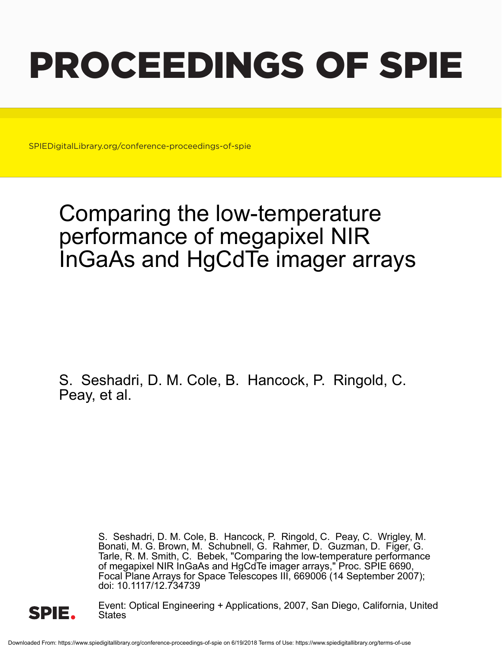# PROCEEDINGS OF SPIE

SPIEDigitalLibrary.org/conference-proceedings-of-spie

## Comparing the low-temperature performance of megapixel NIR InGaAs and HgCdTe imager arrays

S. Seshadri, D. M. Cole, B. Hancock, P. Ringold, C. Peay, et al.

> S. Seshadri, D. M. Cole, B. Hancock, P. Ringold, C. Peay, C. Wrigley, M. Bonati, M. G. Brown, M. Schubnell, G. Rahmer, D. Guzman, D. Figer, G. Tarle, R. M. Smith, C. Bebek, "Comparing the low-temperature performance of megapixel NIR InGaAs and HgCdTe imager arrays," Proc. SPIE 6690, Focal Plane Arrays for Space Telescopes III, 669006 (14 September 2007); doi: 10.1117/12.734739



Event: Optical Engineering + Applications, 2007, San Diego, California, United States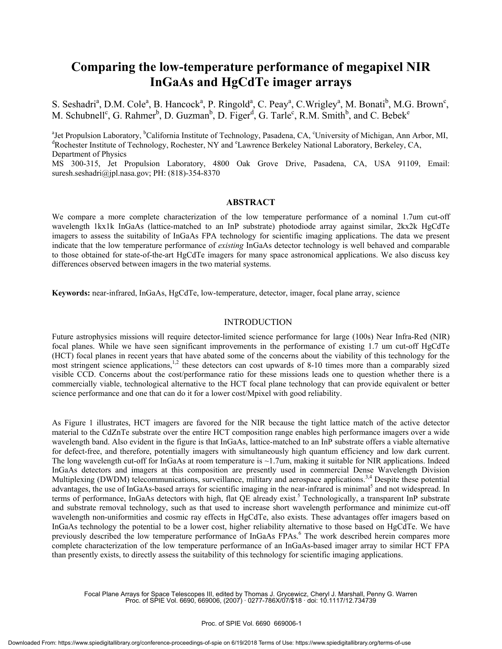### **Comparing the low-temperature performance of megapixel NIR InGaAs and HgCdTe imager arrays**

S. Seshadri<sup>a</sup>, D.M. Cole<sup>a</sup>, B. Hancock<sup>a</sup>, P. Ringold<sup>a</sup>, C. Peay<sup>a</sup>, C. Wrigley<sup>a</sup>, M. Bonati<sup>b</sup>, M.G. Brown<sup>c</sup>, M. Schubnell<sup>c</sup>, G. Rahmer<sup>b</sup>, D. Guzman<sup>b</sup>, D. Figer<sup>d</sup>, G. Tarle<sup>c</sup>, R.M. Smith<sup>b</sup>, and C. Bebek<sup>e</sup>

<sup>a</sup>Jet Propulsion Laboratory, <sup>b</sup>California Institute of Technology, Pasadena, CA, <sup>e</sup>University of Michigan, Ann Arbor, MI, <sup>d</sup>Rochester Institute of Technology, Rochester, NY and <sup>e</sup>Lawrence Berkeley National Laboratory, Berkeley, CA, Department of Physics

MS 300-315, Jet Propulsion Laboratory, 4800 Oak Grove Drive, Pasadena, CA, USA 91109, Email: suresh.seshadri@jpl.nasa.gov; PH: (818)-354-8370

#### **ABSTRACT**

We compare a more complete characterization of the low temperature performance of a nominal 1.7um cut-off wavelength 1kx1k InGaAs (lattice-matched to an InP substrate) photodiode array against similar, 2kx2k HgCdTe imagers to assess the suitability of InGaAs FPA technology for scientific imaging applications. The data we present indicate that the low temperature performance of *existing* InGaAs detector technology is well behaved and comparable to those obtained for state-of-the-art HgCdTe imagers for many space astronomical applications. We also discuss key differences observed between imagers in the two material systems.

**Keywords:** near-infrared, InGaAs, HgCdTe, low-temperature, detector, imager, focal plane array, science

#### INTRODUCTION

Future astrophysics missions will require detector-limited science performance for large (100s) Near Infra-Red (NIR) focal planes. While we have seen significant improvements in the performance of existing 1.7 um cut-off HgCdTe (HCT) focal planes in recent years that have abated some of the concerns about the viability of this technology for the most stringent science applications,<sup>1,2</sup> these detectors can cost upwards of 8-10 times more than a comparably sized visible CCD. Concerns about the cost/performance ratio for these missions leads one to question whether there is a commercially viable, technological alternative to the HCT focal plane technology that can provide equivalent or better science performance and one that can do it for a lower cost/Mpixel with good reliability.

As Figure 1 illustrates, HCT imagers are favored for the NIR because the tight lattice match of the active detector material to the CdZnTe substrate over the entire HCT composition range enables high performance imagers over a wide wavelength band. Also evident in the figure is that InGaAs, lattice-matched to an InP substrate offers a viable alternative for defect-free, and therefore, potentially imagers with simultaneously high quantum efficiency and low dark current. The long wavelength cut-off for InGaAs at room temperature is  $\sim$ 1.7um, making it suitable for NIR applications. Indeed InGaAs detectors and imagers at this composition are presently used in commercial Dense Wavelength Division Multiplexing (DWDM) telecommunications, surveillance, military and aerospace applications.<sup>3,4</sup> Despite these potential advantages, the use of InGaAs-based arrays for scientific imaging in the near-infrared is minimal<sup>5</sup> and not widespread. In terms of performance, InGaAs detectors with high, flat QE already exist.<sup>5</sup> Technologically, a transparent InP substrate and substrate removal technology, such as that used to increase short wavelength performance and minimize cut-off wavelength non-uniformities and cosmic ray effects in HgCdTe, also exists. These advantages offer imagers based on InGaAs technology the potential to be a lower cost, higher reliability alternative to those based on HgCdTe. We have previously described the low temperature performance of InGaAs FPAs.<sup>6</sup> The work described herein compares more complete characterization of the low temperature performance of an InGaAs-based imager array to similar HCT FPA than presently exists, to directly assess the suitability of this technology for scientific imaging applications.

Focal Plane Arrays for Space Telescopes III, edited by Thomas J. Grycewicz, Cheryl J. Marshall, Penny G. Warren Proc. of SPIE Vol. 6690, 669006, (2007) · 0277-786X/07/\$18 · doi: 10.1117/12.734739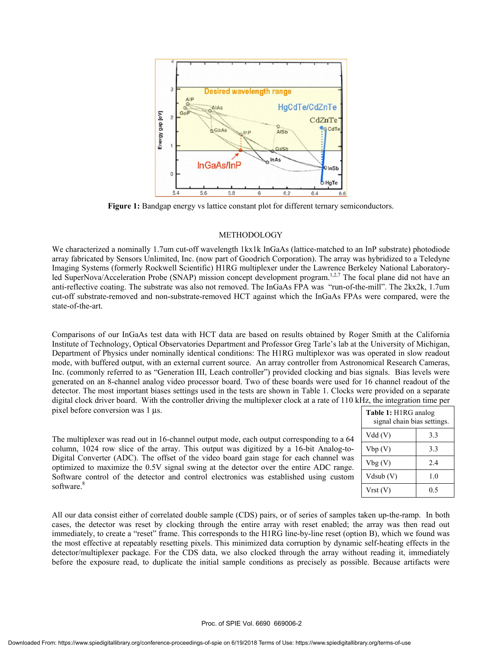

**Figure 1:** Bandgap energy vs lattice constant plot for different ternary semiconductors.

#### METHODOLOGY

We characterized a nominally 1.7um cut-off wavelength 1kx1k InGaAs (lattice-matched to an InP substrate) photodiode array fabricated by Sensors Unlimited, Inc. (now part of Goodrich Corporation). The array was hybridized to a Teledyne Imaging Systems (formerly Rockwell Scientific) H1RG multiplexer under the Lawrence Berkeley National Laboratoryled SuperNova/Acceleration Probe (SNAP) mission concept development program.<sup>1,2,7</sup> The focal plane did not have an anti-reflective coating. The substrate was also not removed. The InGaAs FPA was "run-of-the-mill". The 2kx2k, 1.7um cut-off substrate-removed and non-substrate-removed HCT against which the InGaAs FPAs were compared, were the state-of-the-art.

Comparisons of our InGaAs test data with HCT data are based on results obtained by Roger Smith at the California Institute of Technology, Optical Observatories Department and Professor Greg Tarle's lab at the University of Michigan, Department of Physics under nominally identical conditions: The H1RG multiplexor was was operated in slow readout mode, with buffered output, with an external current source. An array controller from Astronomical Research Cameras, Inc. (commonly referred to as "Generation III, Leach controller") provided clocking and bias signals. Bias levels were generated on an 8-channel analog video processor board. Two of these boards were used for 16 channel readout of the detector. The most important biases settings used in the tests are shown in Table 1. Clocks were provided on a separate digital clock driver board. With the controller driving the multiplexer clock at a rate of 110 kHz, the integration time per pixel before conversion was 1 µs.

The multiplexer was read out in 16-channel output mode, each output corresponding to a 64 column, 1024 row slice of the array. This output was digitized by a 16-bit Analog-to-Digital Converter (ADC). The offset of the video board gain stage for each channel was optimized to maximize the 0.5V signal swing at the detector over the entire ADC range. Software control of the detector and control electronics was established using custom software.<sup>8</sup>

| Table 1: H1RG analog<br>signal chain bias settings. |     |
|-----------------------------------------------------|-----|
| Vdd(V)                                              | 3.3 |
| Vbp(V)                                              | 3.3 |
| Vbg(V)                                              | 2.4 |
| Vdsub (V)                                           | 1.0 |
| Vrst (V)                                            | 05  |

All our data consist either of correlated double sample (CDS) pairs, or of series of samples taken up-the-ramp. In both cases, the detector was reset by clocking through the entire array with reset enabled; the array was then read out immediately, to create a "reset" frame. This corresponds to the H1RG line-by-line reset (option B), which we found was the most effective at repeatably resetting pixels. This minimized data corruption by dynamic self-heating effects in the detector/multiplexer package. For the CDS data, we also clocked through the array without reading it, immediately before the exposure read, to duplicate the initial sample conditions as precisely as possible. Because artifacts were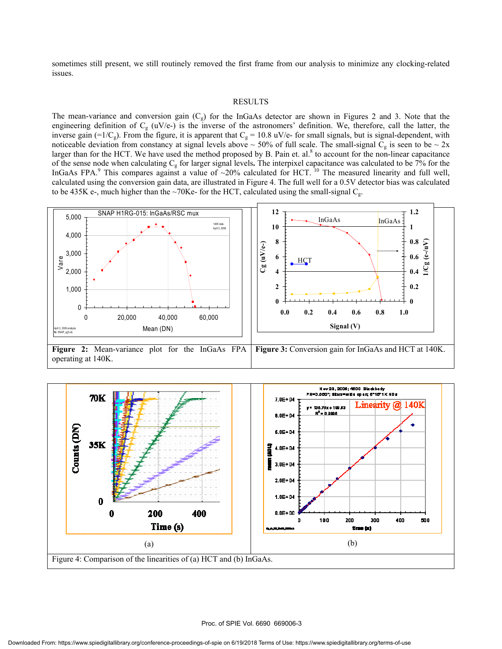sometimes still present, we still routinely removed the first frame from our analysis to minimize any clocking-related issues.

#### RESULTS

The mean-variance and conversion gain  $(C_g)$  for the InGaAs detector are shown in Figures 2 and 3. Note that the engineering definition of  $C_g$  (uV/e-) is the inverse of the astronomers' definition. We, therefore, call the latter, the inverse gain (=1/C<sub>g</sub>). From the figure, it is apparent that C<sub>g</sub> = 10.8 uV/e- for small signals, but is signal-dependent, with noticeable deviation from constancy at signal levels above  $\sim 50\%$  of full scale. The small-signal C<sub>g</sub> is seen to be  $\sim 2x$ larger than for the HCT. We have used the method proposed by B. Pain et. al. $8$  to account for the non-linear capacitance of the sense node when calculating Cg for larger signal levels**.** The interpixel capacitance was calculated to be 7% for the InGaAs FPA.<sup>9</sup> This compares against a value of ~20% calculated for HCT. <sup>10</sup> The measured linearity and full well, calculated using the conversion gain data, are illustrated in Figure 4. The full well for a 0.5V detector bias was calculated to be 435K e-, much higher than the ~70Ke- for the HCT, calculated using the small-signal  $C<sub>g</sub>$ .



**Figure 2:** Mean-variance plot for the InGaAs FPA operating at 140K. **Figure 3:** Conversion gain for InGaAs and HCT at 140K.

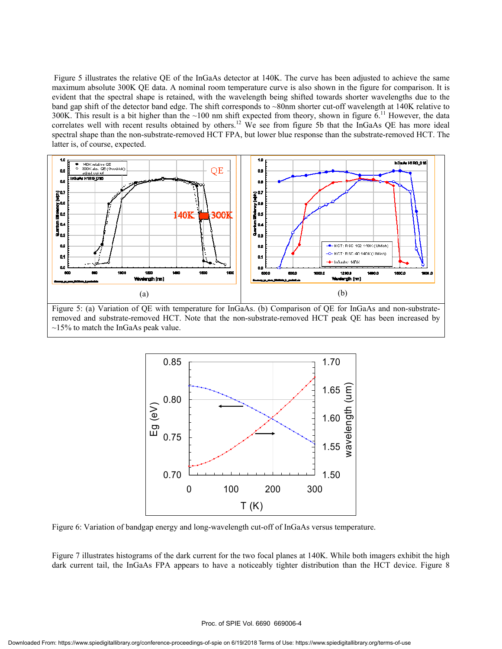Figure 5 illustrates the relative QE of the InGaAs detector at 140K. The curve has been adjusted to achieve the same maximum absolute 300K QE data. A nominal room temperature curve is also shown in the figure for comparison. It is evident that the spectral shape is retained, with the wavelength being shifted towards shorter wavelengths due to the band gap shift of the detector band edge. The shift corresponds to ~80nm shorter cut-off wavelength at 140K relative to 300K. This result is a bit higher than the  $~100$  nm shift expected from theory, shown in figure  $6$ .<sup>11</sup> However, the data correlates well with recent results obtained by others.<sup>12</sup> We see from figure 5b that the InGaAs QE has more ideal spectral shape than the non-substrate-removed HCT FPA, but lower blue response than the substrate-removed HCT. The latter is, of course, expected.



Figure 5: (a) Variation of QE with temperature for InGaAs. (b) Comparison of QE for InGaAs and non-substrateremoved and substrate-removed HCT. Note that the non-substrate-removed HCT peak QE has been increased by  $\sim$ 15% to match the InGaAs peak value.



Figure 6: Variation of bandgap energy and long-wavelength cut-off of InGaAs versus temperature.

Figure 7 illustrates histograms of the dark current for the two focal planes at 140K. While both imagers exhibit the high dark current tail, the InGaAs FPA appears to have a noticeably tighter distribution than the HCT device. Figure 8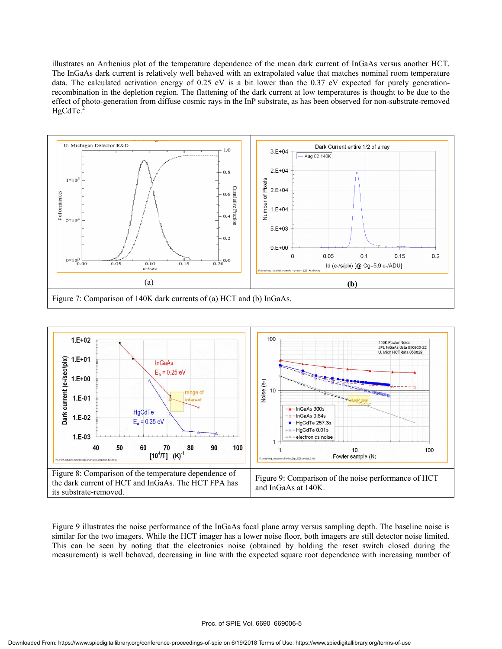illustrates an Arrhenius plot of the temperature dependence of the mean dark current of InGaAs versus another HCT. The InGaAs dark current is relatively well behaved with an extrapolated value that matches nominal room temperature data. The calculated activation energy of 0.25 eV is a bit lower than the 0.37 eV expected for purely generationrecombination in the depletion region. The flattening of the dark current at low temperatures is thought to be due to the effect of photo-generation from diffuse cosmic rays in the InP substrate, as has been observed for non-substrate-removed  $HgCdTe.<sup>2</sup>$ 





Figure 9 illustrates the noise performance of the InGaAs focal plane array versus sampling depth. The baseline noise is similar for the two imagers. While the HCT imager has a lower noise floor, both imagers are still detector noise limited. This can be seen by noting that the electronics noise (obtained by holding the reset switch closed during the measurement) is well behaved, decreasing in line with the expected square root dependence with increasing number of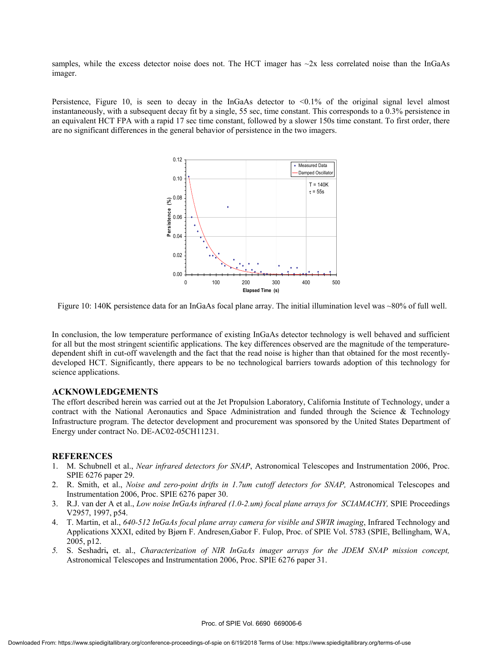samples, while the excess detector noise does not. The HCT imager has  $\sim$ 2x less correlated noise than the InGaAs imager.

Persistence, Figure 10, is seen to decay in the InGaAs detector to  $\langle 0.1\%$  of the original signal level almost instantaneously, with a subsequent decay fit by a single, 55 sec, time constant. This corresponds to a 0.3% persistence in an equivalent HCT FPA with a rapid 17 sec time constant, followed by a slower 150s time constant. To first order, there are no significant differences in the general behavior of persistence in the two imagers.



Figure 10: 140K persistence data for an InGaAs focal plane array. The initial illumination level was ~80% of full well.

In conclusion, the low temperature performance of existing InGaAs detector technology is well behaved and sufficient for all but the most stringent scientific applications. The key differences observed are the magnitude of the temperaturedependent shift in cut-off wavelength and the fact that the read noise is higher than that obtained for the most recentlydeveloped HCT. Significantly, there appears to be no technological barriers towards adoption of this technology for science applications.

#### **ACKNOWLEDGEMENTS**

The effort described herein was carried out at the Jet Propulsion Laboratory, California Institute of Technology, under a contract with the National Aeronautics and Space Administration and funded through the Science & Technology Infrastructure program. The detector development and procurement was sponsored by the United States Department of Energy under contract No. DE-AC02-05CH11231.

#### **REFERENCES**

- 1. M. Schubnell et al., *Near infrared detectors for SNAP*, Astronomical Telescopes and Instrumentation 2006, Proc. SPIE 6276 paper 29.
- 2. R. Smith, et al., *Noise and zero-point drifts in 1.7um cutoff detectors for SNAP,* Astronomical Telescopes and Instrumentation 2006, Proc. SPIE 6276 paper 30.
- 3. R.J. van der A et al., *Low noise InGaAs infrared (1.0-2.um) focal plane arrays for SCIAMACHY,* SPIE Proceedings V2957, 1997, p54.
- 4. T. Martin, et al., *640-512 InGaAs focal plane array camera for visible and SWIR imaging*, Infrared Technology and Applications XXXI, edited by Bjørn F. Andresen,Gabor F. Fulop, Proc. of SPIE Vol. 5783 (SPIE, Bellingham, WA, 2005, p12.
- *5.* S. Seshadri**,** et. al., *Characterization of NIR InGaAs imager arrays for the JDEM SNAP mission concept,*  Astronomical Telescopes and Instrumentation 2006, Proc. SPIE 6276 paper 31.